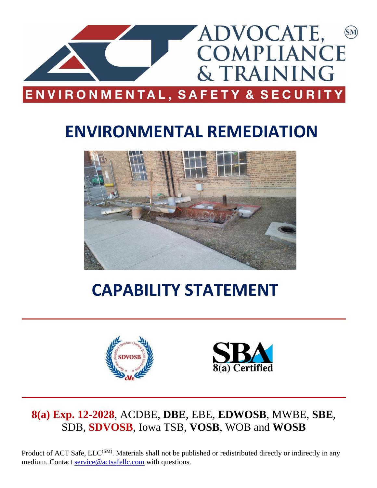

# **ENVIRONMENTAL REMEDIATION**



# **CAPABILITY STATEMENT**





## **8(a) Exp. 12-2028**, ACDBE, **DBE**, EBE, **EDWOSB**, MWBE, **SBE**, SDB, **SDVOSB**, Iowa TSB, **VOSB**, WOB and **WOSB**

Product of ACT Safe, LLC<sup>(SM)</sup>. Materials shall not be published or redistributed directly or indirectly in any medium. Contact [service@actsafellc.com](mailto:service@actsafellc.com) with questions.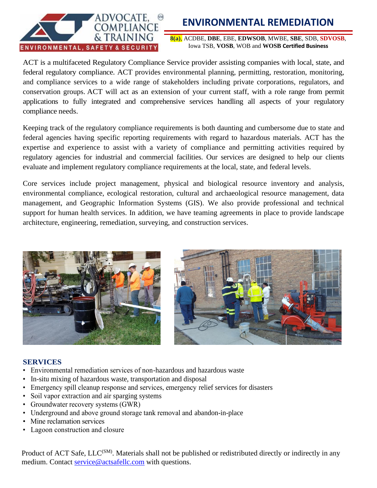

## **ENVIRONMENTAL REMEDIATION**

**8(a)**, ACDBE, **DBE**, EBE, **EDWSOB**, MWBE, **SBE**, SDB, **SDVOSB**, Iowa TSB, **VOSB**, WOB and **WOSB Certified Business**

ACT is a multifaceted Regulatory Compliance Service provider assisting companies with local, state, and federal regulatory compliance. ACT provides environmental planning, permitting, restoration, monitoring, and compliance services to a wide range of stakeholders including private corporations, regulators, and conservation groups. ACT will act as an extension of your current staff, with a role range from permit applications to fully integrated and comprehensive services handling all aspects of your regulatory compliance needs.

Keeping track of the regulatory compliance requirements is both daunting and cumbersome due to state and federal agencies having specific reporting requirements with regard to hazardous materials. ACT has the expertise and experience to assist with a variety of compliance and permitting activities required by regulatory agencies for industrial and commercial facilities. Our services are designed to help our clients evaluate and implement regulatory compliance requirements at the local, state, and federal levels.

Core services include project management, physical and biological resource inventory and analysis, environmental compliance, ecological restoration, cultural and archaeological resource management, data management, and Geographic Information Systems (GIS). We also provide professional and technical support for human health services. In addition, we have teaming agreements in place to provide landscape architecture, engineering, remediation, surveying, and construction services.



#### **SERVICES**

- Environmental remediation services of non-hazardous and hazardous waste
- In-situ mixing of hazardous waste, transportation and disposal
- Emergency spill cleanup response and services, emergency relief services for disasters
- Soil vapor extraction and air sparging systems
- Groundwater recovery systems (GWR)
- Underground and above ground storage tank removal and abandon-in-place
- Mine reclamation services
- Lagoon construction and closure

Product of ACT Safe, LLC<sup>(SM)</sup>. Materials shall not be published or redistributed directly or indirectly in any medium. Contact [service@actsafellc.com](mailto:service@actsafellc.com) with questions.